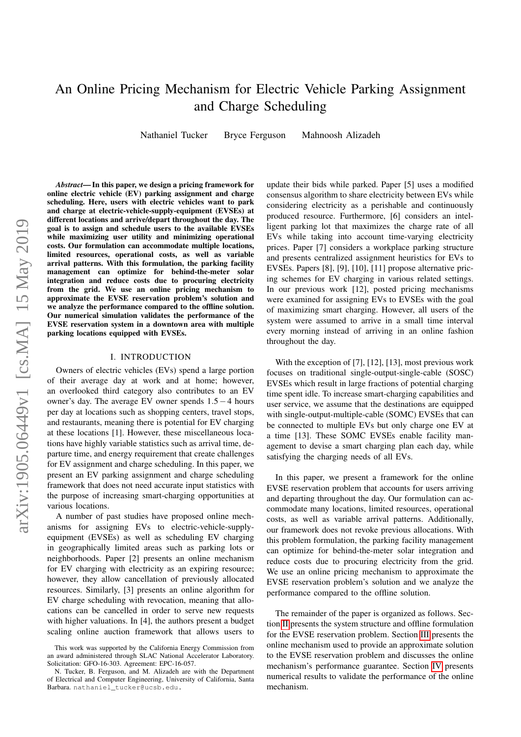# An Online Pricing Mechanism for Electric Vehicle Parking Assignment and Charge Scheduling

Nathaniel Tucker Bryce Ferguson Mahnoosh Alizadeh

*Abstract*— In this paper, we design a pricing framework for online electric vehicle (EV) parking assignment and charge scheduling. Here, users with electric vehicles want to park and charge at electric-vehicle-supply-equipment (EVSEs) at different locations and arrive/depart throughout the day. The goal is to assign and schedule users to the available EVSEs while maximizing user utility and minimizing operational costs. Our formulation can accommodate multiple locations, limited resources, operational costs, as well as variable arrival patterns. With this formulation, the parking facility management can optimize for behind-the-meter solar integration and reduce costs due to procuring electricity from the grid. We use an online pricing mechanism to approximate the EVSE reservation problem's solution and we analyze the performance compared to the offline solution. Our numerical simulation validates the performance of the EVSE reservation system in a downtown area with multiple parking locations equipped with EVSEs.

## I. INTRODUCTION

Owners of electric vehicles (EVs) spend a large portion of their average day at work and at home; however, an overlooked third category also contributes to an EV owner's day. The average EV owner spends 1.5−4 hours per day at locations such as shopping centers, travel stops, and restaurants, meaning there is potential for EV charging at these locations [1]. However, these miscellaneous locations have highly variable statistics such as arrival time, departure time, and energy requirement that create challenges for EV assignment and charge scheduling. In this paper, we present an EV parking assignment and charge scheduling framework that does not need accurate input statistics with the purpose of increasing smart-charging opportunities at various locations.

A number of past studies have proposed online mechanisms for assigning EVs to electric-vehicle-supplyequipment (EVSEs) as well as scheduling EV charging in geographically limited areas such as parking lots or neighborhoods. Paper [2] presents an online mechanism for EV charging with electricity as an expiring resource; however, they allow cancellation of previously allocated resources. Similarly, [3] presents an online algorithm for EV charge scheduling with revocation, meaning that allocations can be cancelled in order to serve new requests with higher valuations. In [4], the authors present a budget scaling online auction framework that allows users to update their bids while parked. Paper [5] uses a modified consensus algorithm to share electricity between EVs while considering electricity as a perishable and continuously produced resource. Furthermore, [6] considers an intelligent parking lot that maximizes the charge rate of all EVs while taking into account time-varying electricity prices. Paper [7] considers a workplace parking structure and presents centralized assignment heuristics for EVs to EVSEs. Papers [8], [9], [10], [11] propose alternative pricing schemes for EV charging in various related settings. In our previous work [12], posted pricing mechanisms were examined for assigning EVs to EVSEs with the goal of maximizing smart charging. However, all users of the system were assumed to arrive in a small time interval every morning instead of arriving in an online fashion throughout the day.

With the exception of [7], [12], [13], most previous work focuses on traditional single-output-single-cable (SOSC) EVSEs which result in large fractions of potential charging time spent idle. To increase smart-charging capabilities and user service, we assume that the destinations are equipped with single-output-multiple-cable (SOMC) EVSEs that can be connected to multiple EVs but only charge one EV at a time [13]. These SOMC EVSEs enable facility management to devise a smart charging plan each day, while satisfying the charging needs of all EVs.

In this paper, we present a framework for the online EVSE reservation problem that accounts for users arriving and departing throughout the day. Our formulation can accommodate many locations, limited resources, operational costs, as well as variable arrival patterns. Additionally, our framework does not revoke previous allocations. With this problem formulation, the parking facility management can optimize for behind-the-meter solar integration and reduce costs due to procuring electricity from the grid. We use an online pricing mechanism to approximate the EVSE reservation problem's solution and we analyze the performance compared to the offline solution.

The remainder of the paper is organized as follows. Section [II](#page-1-0) presents the system structure and offline formulation for the EVSE reservation problem. Section [III](#page-2-0) presents the online mechanism used to provide an approximate solution to the EVSE reservation problem and discusses the online mechanism's performance guarantee. Section [IV](#page-4-0) presents numerical results to validate the performance of the online mechanism.

This work was supported by the California Energy Commission from an award administered through SLAC National Accelerator Laboratory. Solicitation: GFO-16-303. Agreement: EPC-16-057.

N. Tucker, B. Ferguson, and M. Alizadeh are with the Department of Electrical and Computer Engineering, University of California, Santa Barbara. nathaniel\_tucker@ucsb.edu.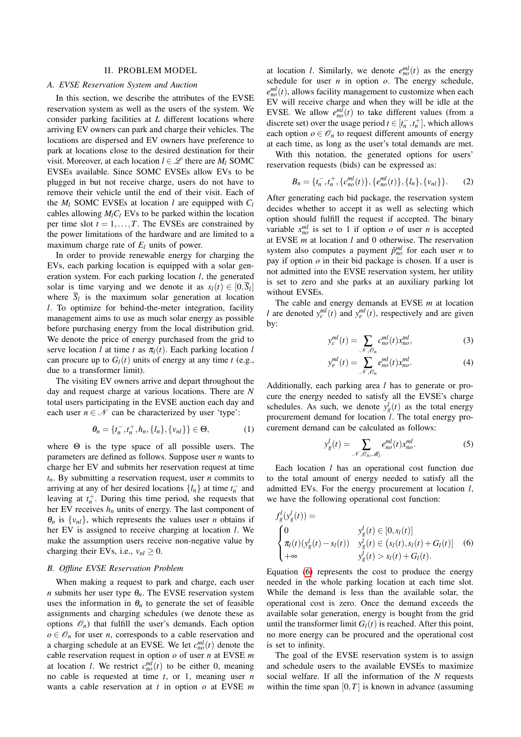### II. PROBLEM MODEL

### <span id="page-1-0"></span>*A. EVSE Reservation System and Auction*

In this section, we describe the attributes of the EVSE reservation system as well as the users of the system. We consider parking facilities at *L* different locations where arriving EV owners can park and charge their vehicles. The locations are dispersed and EV owners have preference to park at locations close to the desired destination for their visit. Moreover, at each location  $l \in \mathcal{L}$  there are  $M_l$  SOMC EVSEs available. Since SOMC EVSEs allow EVs to be plugged in but not receive charge, users do not have to remove their vehicle until the end of their visit. Each of the  $M_l$  SOMC EVSEs at location *l* are equipped with  $C_l$ cables allowing  $M_1C_1$  EVs to be parked within the location per time slot  $t = 1, \ldots, T$ . The EVSEs are constrained by the power limitations of the hardware and are limited to a maximum charge rate of *E<sup>l</sup>* units of power.

In order to provide renewable energy for charging the EVs, each parking location is equipped with a solar generation system. For each parking location *l*, the generated solar is time varying and we denote it as  $s_l(t) \in [0, \overline{S}_l]$ where  $S_l$  is the maximum solar generation at location *l*. To optimize for behind-the-meter integration, facility management aims to use as much solar energy as possible before purchasing energy from the local distribution grid. We denote the price of energy purchased from the grid to serve location *l* at time *t* as  $\pi_l(t)$ . Each parking location *l* can procure up to  $G_l(t)$  units of energy at any time *t* (e.g., due to a transformer limit).

The visiting EV owners arrive and depart throughout the day and request charge at various locations. There are *N* total users participating in the EVSE auction each day and each user  $n \in \mathcal{N}$  can be characterized by user 'type':

$$
\theta_n = \{t_n^-, t_n^+, h_n, \{l_n\}, \{v_{nl}\}\} \in \Theta,
$$
\n(1)

where  $\Theta$  is the type space of all possible users. The parameters are defined as follows. Suppose user *n* wants to charge her EV and submits her reservation request at time  $t_n$ . By submitting a reservation request, user *n* commits to arriving at any of her desired locations  $\{l_n\}$  at time  $t_n^-$  and leaving at  $t_n^+$ . During this time period, she requests that her EV receives *h<sup>n</sup>* units of energy. The last component of  $\theta_n$  is  $\{v_{nl}\}\$ , which represents the values user *n* obtains if her EV is assigned to receive charging at location *l*. We make the assumption users receive non-negative value by charging their EVs, i.e.,  $v_{nl} \geq 0$ .

# *B. Offline EVSE Reservation Problem*

When making a request to park and charge, each user *n* submits her user type  $\theta_n$ . The EVSE reservation system uses the information in  $\theta_n$  to generate the set of feasible assignments and charging schedules (we denote these as options  $\mathcal{O}_n$ ) that fulfill the user's demands. Each option  $o \in \mathcal{O}_n$  for user *n*, corresponds to a cable reservation and a charging schedule at an EVSE. We let  $c_{no}^{ml}(t)$  denote the cable reservation request in option *o* of user *n* at EVSE *m* at location *l*. We restrict  $c_{no}^{ml}(t)$  to be either 0, meaning no cable is requested at time *t*, or 1, meaning user *n* wants a cable reservation at *t* in option *o* at EVSE *m*

at location *l*. Similarly, we denote  $e_{no}^{ml}(t)$  as the energy schedule for user  $n$  in option  $o$ . The energy schedule,  $e_{no}^{ml}(t)$ , allows facility management to customize when each EV will receive charge and when they will be idle at the EVSE. We allow  $e_{no}^{ml}(t)$  to take different values (from a discrete set) over the usage period  $t \in [t_n^-, t_n^+]$ , which allows each option  $o \in \mathcal{O}_n$  to request different amounts of energy at each time, as long as the user's total demands are met.

With this notation, the generated options for users' reservation requests (bids) can be expressed as:

$$
B_n = \{t_n^-, t_n^+, \{c_{no}^{ml}(t)\}, \{e_{no}^{ml}(t)\}, \{l_n\}, \{v_{nl}\}\}.
$$
 (2)

After generating each bid package, the reservation system decides whether to accept it as well as selecting which option should fulfill the request if accepted. The binary variable  $x_{no}^{ml}$  is set to 1 if option *o* of user *n* is accepted at EVSE *m* at location *l* and 0 otherwise. The reservation system also computes a payment  $\hat{p}_{no}^{ml}$  for each user *n* to pay if option *o* in their bid package is chosen. If a user is not admitted into the EVSE reservation system, her utility is set to zero and she parks at an auxiliary parking lot without EVSEs.

The cable and energy demands at EVSE *m* at location *l* are denoted  $y_c^{ml}(t)$  and  $y_e^{ml}(t)$ , respectively and are given by:

<span id="page-1-3"></span><span id="page-1-2"></span>
$$
y_c^{ml}(t) = \sum_{\mathcal{N}, \mathcal{O}_n} c_{no}^{ml}(t) x_{no}^{ml},\tag{3}
$$

$$
y_e^{ml}(t) = \sum_{\mathcal{N}, \mathcal{O}_n} e_{no}^{ml}(t) x_{no}^{ml}.
$$
 (4)

Additionally, each parking area *l* has to generate or procure the energy needed to satisfy all the EVSE's charge schedules. As such, we denote  $y_g^l(t)$  as the total energy procurement demand for location *l*. The total energy procurement demand can be calculated as follows:

<span id="page-1-4"></span><span id="page-1-1"></span>
$$
y_g^l(t) = \sum_{\mathcal{N}, \mathcal{O}_n, \mathcal{M}_l} e_{no}^{ml}(t) x_{no}^{ml}.
$$
 (5)

Each location *l* has an operational cost function due to the total amount of energy needed to satisfy all the admitted EVs. For the energy procurement at location *l*, we have the following operational cost function:

$$
f'_{g}(y'_{g}(t)) =
$$
  
\n
$$
\begin{cases}\n0 & y'_{g}(t) \in [0, s_{l}(t)] \\
\pi_{l}(t)(y'_{g}(t) - s_{l}(t)) & y'_{g}(t) \in (s_{l}(t), s_{l}(t) + G_{l}(t)] \\
+\infty & y'_{g}(t) > s_{l}(t) + G_{l}(t).\n\end{cases}
$$
\n(6)

Equation [\(6\)](#page-1-1) represents the cost to produce the energy needed in the whole parking location at each time slot. While the demand is less than the available solar, the operational cost is zero. Once the demand exceeds the available solar generation, energy is bought from the grid until the transformer limit  $G_l(t)$  is reached. After this point, no more energy can be procured and the operational cost is set to infinity.

The goal of the EVSE reservation system is to assign and schedule users to the available EVSEs to maximize social welfare. If all the information of the *N* requests within the time span  $[0, T]$  is known in advance (assuming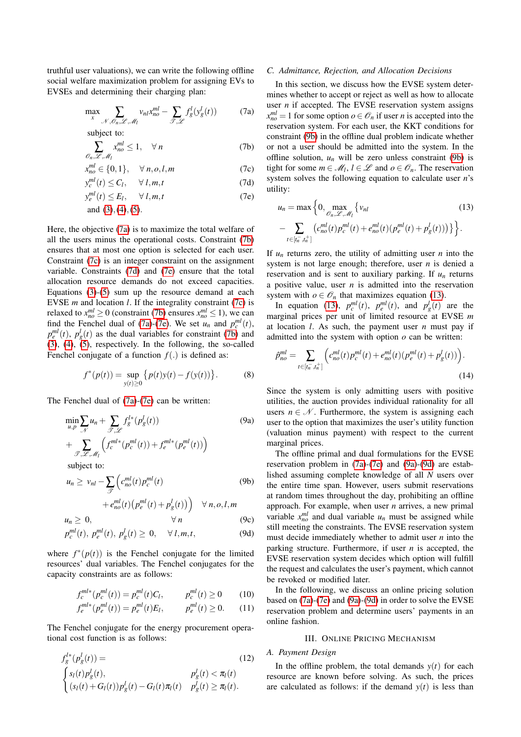truthful user valuations), we can write the following offline social welfare maximization problem for assigning EVs to EVSEs and determining their charging plan:

$$
\max_{x} \sum_{\mathcal{N}, \mathcal{O}_n, \mathcal{L}, \mathcal{M}_l} v_{nl} x_{no}^{ml} - \sum_{\mathcal{F}, \mathcal{L}} f_g^l(y_g^l(t)) \tag{7a}
$$

subject to:

$$
\sum_{\mathcal{O}_n, \mathcal{L}, \mathcal{M}_l} x_{no}^{ml} \le 1, \quad \forall n \tag{7b}
$$

$$
x_{no}^{ml} \in \{0, 1\}, \quad \forall n, o, l, m \tag{7c}
$$

$$
y_c^{ml}(t) \le C_l, \quad \forall l, m, t \tag{7d}
$$

$$
y_e^{ml}(t) \le E_l, \qquad \forall \ l, m, t \tag{7e}
$$

and  $(3)$ ,  $(4)$ ,  $(5)$ .

Here, the objective [\(7a\)](#page-2-1) is to maximize the total welfare of all the users minus the operational costs. Constraint [\(7b\)](#page-2-2) ensures that at most one option is selected for each user. Constraint [\(7c\)](#page-2-3) is an integer constraint on the assignment variable. Constraints [\(7d\)](#page-2-4) and [\(7e\)](#page-2-5) ensure that the total allocation resource demands do not exceed capacities. Equations [\(3\)](#page-1-2)-[\(5\)](#page-1-4) sum up the resource demand at each EVSE *m* and location *l*. If the integrality constraint [\(7c\)](#page-2-3) is relaxed to  $x_{no}^{ml} \ge 0$  (constraint [\(7b\)](#page-2-2) ensures  $x_{no}^{ml} \le 1$ ), we can find the Fenchel dual of [\(7a\)](#page-2-1)-[\(7e\)](#page-2-5). We set  $u_n$  and  $p_c^{ml}(t)$ ,  $p_e^{ml}(t)$ ,  $p_g^l(t)$  as the dual variables for constraint [\(7b\)](#page-2-2) and [\(3\)](#page-1-2), [\(4\)](#page-1-3), [\(5\)](#page-1-4), respectively. In the following, the so-called Fenchel conjugate of a function  $f(.)$  is defined as:

$$
f^*(p(t)) = \sup_{y(t) \ge 0} \{p(t)y(t) - f(y(t))\}.
$$
 (8)

The Fenchel dual of [\(7a\)](#page-2-1)-[\(7e\)](#page-2-5) can be written:

$$
\min_{u,p} \sum_{\mathcal{N}} u_n + \sum_{\mathcal{F},\mathcal{L}} f_g^{l*}(p_g^l(t))
$$
\n
$$
+ \sum_{\mathcal{F},\mathcal{L},\mathcal{M}_l} \left( f_c^{ml*}(p_c^{ml}(t)) + f_e^{ml*}(p_e^{ml}(t)) \right)
$$
\n
$$
\text{subject to:}
$$
\n(9a)

$$
u_n \ge v_{nl} - \sum_{\mathcal{F}} \left( c_{no}^{ml}(t) p_c^{ml}(t) \right) \tag{9b}
$$

$$
+ e_{no}^{ml}(t) \left( p_e^{ml}(t) + p_s^l(t) \right) \quad \forall n, o, l, m
$$

$$
u_n \geq 0, \qquad \forall n \qquad (9c)
$$

$$
p_c^{ml}(t), \, p_e^{ml}(t), \, p_s^l(t) \ge 0, \quad \forall \, l, m, t,
$$
\n(9d)

where  $f^*(p(t))$  is the Fenchel conjugate for the limited resources' dual variables. The Fenchel conjugates for the capacity constraints are as follows:

$$
f_c^{ml*}(p_c^{ml}(t)) = p_c^{ml}(t)C_l, \qquad p_c^{ml}(t) \ge 0 \qquad (10)
$$

$$
f_e^{ml*}(p_e^{ml}(t)) = p_e^{ml}(t)E_l, \qquad p_e^{ml}(t) \ge 0. \tag{11}
$$

The Fenchel conjugate for the energy procurement operational cost function is as follows:

$$
f_g^{l*}(p_g^l(t)) =
$$
\n
$$
\begin{cases}\ns_l(t)p_g^l(t), & p_g^l(t) < \pi_l(t) \\
(s_l(t) + G_l(t))p_g^l(t) - G_l(t)\pi_l(t) & p_g^l(t) \ge \pi_l(t).\n\end{cases}
$$
\n(12)

# *C. Admittance, Rejection, and Allocation Decisions*

<span id="page-2-2"></span><span id="page-2-1"></span>In this section, we discuss how the EVSE system determines whether to accept or reject as well as how to allocate user *n* if accepted. The EVSE reservation system assigns  $x_{no}^{ml} = 1$  for some option  $o \in \mathcal{O}_n$  if user *n* is accepted into the reservation system. For each user, the KKT conditions for constraint [\(9b\)](#page-2-6) in the offline dual problem indicate whether or not a user should be admitted into the system. In the offline solution,  $u_n$  will be zero unless constraint [\(9b\)](#page-2-6) is tight for some  $m \in \mathcal{M}_l$ ,  $l \in \mathcal{L}$  and  $o \in \mathcal{O}_n$ . The reservation system solves the following equation to calculate user *n*'s utility:

<span id="page-2-7"></span><span id="page-2-5"></span><span id="page-2-4"></span><span id="page-2-3"></span>
$$
u_n = \max \Big\{ 0, \max_{\mathcal{O}_n, \mathcal{L}, \mathcal{M}_l} \{ v_{nl} \tag{13} \\ - \sum_{t \in [t_n^-, t_n^+]} \big( c_{no}^{ml}(t) p_c^{ml}(t) + e_{no}^{ml}(t) (p_e^{ml}(t) + p_g^l(t)) \big) \Big\} \Big\}.
$$

If  $u_n$  returns zero, the utility of admitting user  $n$  into the system is not large enough; therefore, user *n* is denied a reservation and is sent to auxiliary parking. If *u<sup>n</sup>* returns a positive value, user *n* is admitted into the reservation system with  $o \in \mathcal{O}_n$  that maximizes equation [\(13\)](#page-2-7).

In equation [\(13\)](#page-2-7),  $p_c^{ml}(t)$ ,  $p_e^{ml}(t)$ , and  $p_g^l(t)$  are the marginal prices per unit of limited resource at EVSE *m* at location *l*. As such, the payment user *n* must pay if admitted into the system with option *o* can be written:

$$
\hat{p}_{no}^{ml} = \sum_{t \in [t_n^-, t_n^+]} \left( c_{no}^{ml}(t) p_c^{ml}(t) + e_{no}^{ml}(t) (p_e^{ml}(t) + p_g^l(t)) \right). \tag{14}
$$

<span id="page-2-8"></span>Since the system is only admitting users with positive utilities, the auction provides individual rationality for all users  $n \in \mathcal{N}$ . Furthermore, the system is assigning each user to the option that maximizes the user's utility function (valuation minus payment) with respect to the current marginal prices.

<span id="page-2-6"></span>The offline primal and dual formulations for the EVSE reservation problem in [\(7a\)](#page-2-1)-[\(7e\)](#page-2-5) and [\(9a\)](#page-2-8)-[\(9d\)](#page-2-9) are established assuming complete knowledge of all *N* users over the entire time span. However, users submit reservations at random times throughout the day, prohibiting an offline approach. For example, when user *n* arrives, a new primal variable  $x_{no}^{ml}$  and dual variable  $u_n$  must be assigned while still meeting the constraints. The EVSE reservation system must decide immediately whether to admit user *n* into the parking structure. Furthermore, if user *n* is accepted, the EVSE reservation system decides which option will fulfill the request and calculates the user's payment, which cannot be revoked or modified later.

<span id="page-2-9"></span>In the following, we discuss an online pricing solution based on [\(7a\)](#page-2-1)-[\(7e\)](#page-2-5) and [\(9a\)](#page-2-8)-[\(9d\)](#page-2-9) in order to solve the EVSE reservation problem and determine users' payments in an online fashion.

### III. ONLINE PRICING MECHANISM

# <span id="page-2-10"></span><span id="page-2-0"></span>*A. Payment Design*

In the offline problem, the total demands  $y(t)$  for each resource are known before solving. As such, the prices are calculated as follows: if the demand  $y(t)$  is less than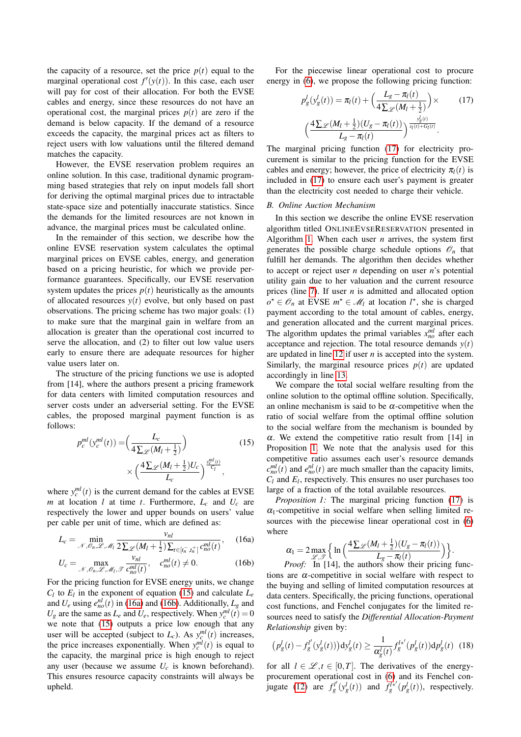the capacity of a resource, set the price  $p(t)$  equal to the marginal operational cost  $f'(y(t))$ . In this case, each user will pay for cost of their allocation. For both the EVSE cables and energy, since these resources do not have an operational cost, the marginal prices  $p(t)$  are zero if the demand is below capacity. If the demand of a resource exceeds the capacity, the marginal prices act as filters to reject users with low valuations until the filtered demand matches the capacity.

However, the EVSE reservation problem requires an online solution. In this case, traditional dynamic programming based strategies that rely on input models fall short for deriving the optimal marginal prices due to intractable state-space size and potentially inaccurate statistics. Since the demands for the limited resources are not known in advance, the marginal prices must be calculated online.

In the remainder of this section, we describe how the online EVSE reservation system calculates the optimal marginal prices on EVSE cables, energy, and generation based on a pricing heuristic, for which we provide performance guarantees. Specifically, our EVSE reservation system updates the prices  $p(t)$  heuristically as the amounts of allocated resources  $y(t)$  evolve, but only based on past observations. The pricing scheme has two major goals: (1) to make sure that the marginal gain in welfare from an allocation is greater than the operational cost incurred to serve the allocation, and (2) to filter out low value users early to ensure there are adequate resources for higher value users later on.

The structure of the pricing functions we use is adopted from [14], where the authors present a pricing framework for data centers with limited computation resources and server costs under an adverserial setting. For the EVSE cables, the proposed marginal payment function is as follows:

$$
p_c^{ml}(y_c^{ml}(t)) = \left(\frac{L_c}{4\sum_{\mathcal{L}}(M_l + \frac{1}{2})}\right) \qquad (15)
$$

$$
\times \left(\frac{4\sum_{\mathcal{L}}(M_l + \frac{1}{2})U_c}{L_c}\right)^{\frac{y_c^{ml}(t)}{C_l}},
$$

where  $y_c^{ml}(t)$  is the current demand for the cables at EVSE *m* at location *l* at time *t*. Furthermore,  $L_c$  and  $U_c$  are respectively the lower and upper bounds on users' value per cable per unit of time, which are defined as:

$$
L_c = \min_{\mathcal{N}, \mathcal{O}_n, \mathcal{L}, \mathcal{M}_l} \frac{v_{nl}}{2\sum_{\mathcal{L}} (M_l + \frac{1}{2}) \sum_{t \in [t_n^-, t_n^+]} c_{no}^{ml}(t)},
$$
 (16a)

$$
U_c = \max_{\mathcal{N}, \mathcal{O}_n, \mathcal{L}, \mathcal{M}_l, \mathcal{T}} \frac{v_{nl}}{c_{no}^{ml}(t)}, \quad c_{no}^{ml}(t) \neq 0.
$$
 (16b)

For the pricing function for EVSE energy units, we change  $C_l$  to  $E_l$  in the exponent of equation [\(15\)](#page-3-0) and calculate  $L_e$ and  $U_e$  using  $e_{no}^{nl}(t)$  in [\(16a\)](#page-3-1) and [\(16b\)](#page-3-2). Additionally,  $L_g$  and  $U_g$  are the same as  $L_e$  and  $U_e$ , respectively. When  $y_c^{ml}(t) = 0$ we note that [\(15\)](#page-3-0) outputs a price low enough that any user will be accepted (subject to  $L_c$ ). As  $y_c^{ml}(t)$  increases, the price increases exponentially. When  $y_c^{ml}(t)$  is equal to the capacity, the marginal price is high enough to reject any user (because we assume  $U_c$  is known beforehand). This ensures resource capacity constraints will always be upheld.

For the piecewise linear operational cost to procure energy in [\(6\)](#page-1-1), we propose the following pricing function:

<span id="page-3-3"></span>
$$
p_g^l(y_g^l(t)) = \pi_l(t) + \left(\frac{L_g - \pi_l(t)}{4\sum_{g'}(M_l + \frac{1}{2})}\right) \times \qquad (17)
$$

$$
\left(\frac{4\sum_{g'}(M_l + \frac{1}{2})(U_g - \pi_l(t))}{L_g - \pi_l(t)}\right)^{\frac{y_g^l(t)}{s_l(t) + G_l(t)}}.
$$

The marginal pricing function [\(17\)](#page-3-3) for electricity procurement is similar to the pricing function for the EVSE cables and energy; however, the price of electricity  $\pi_l(t)$  is included in [\(17\)](#page-3-3) to ensure each user's payment is greater than the electricity cost needed to charge their vehicle.

# *B. Online Auction Mechanism*

In this section we describe the online EVSE reservation algorithm titled ONLINEEVSERESERVATION presented in Algorithm [1.](#page-4-1) When each user *n* arrives, the system first generates the possible charge schedule options  $\mathcal{O}_n$  that fulfill her demands. The algorithm then decides whether to accept or reject user *n* depending on user *n*'s potential utility gain due to her valuation and the current resource prices (line [7\)](#page-4-2). If user *n* is admitted and allocated option  $o^{\star}$  ∈  $\mathcal{O}_n$  at EVSE  $m^{\star}$  ∈  $\mathcal{M}_l$  at location  $l^{\star}$ , she is charged payment according to the total amount of cables, energy, and generation allocated and the current marginal prices. The algorithm updates the primal variables  $x_{no}^{ml}$  after each acceptance and rejection. The total resource demands  $y(t)$ are updated in line [12](#page-4-3) if user *n* is accepted into the system. Similarly, the marginal resource prices  $p(t)$  are updated accordingly in line [13.](#page-4-4)

<span id="page-3-0"></span>We compare the total social welfare resulting from the online solution to the optimal offline solution. Specifically, an online mechanism is said to be  $\alpha$ -competitive when the ratio of social welfare from the optimal offline solution to the social welfare from the mechanism is bounded by  $\alpha$ . We extend the competitive ratio result from [14] in Proposition [1.](#page-3-4) We note that the analysis used for this competitive ratio assumes each user's resource demands  $c_{no}^{ml}(t)$  and  $e_{no}^{nl}(t)$  are much smaller than the capacity limits,  $C_l$  and  $E_l$ , respectively. This ensures no user purchases too large of a fraction of the total available resources.

*Proposition 1:* The marginal pricing function [\(17\)](#page-3-3) is  $\alpha_1$ -competitive in social welfare when selling limited resources with the piecewise linear operational cost in  $(6)$ where

<span id="page-3-4"></span>
$$
\alpha_1 = 2 \max_{\substack{\mathcal{L}, \mathcal{F} \\ \mathcal{L}, \mathcal{F}}} \left\{ \ln \left( \frac{4 \sum_{\mathcal{L}} (M_l + \frac{1}{2}) (U_g - \pi_l(t))}{L_g - \pi_l(t)} \right) \right\}.
$$

<span id="page-3-2"></span><span id="page-3-1"></span>*Proof:* In [14], the authors show their pricing functions are  $\alpha$ -competitive in social welfare with respect to the buying and selling of limited computation resources at data centers. Specifically, the pricing functions, operational cost functions, and Fenchel conjugates for the limited resources need to satisfy the *Differential Allocation-Payment Relationship* given by:

<span id="page-3-5"></span>
$$
(p_g^l(t) - f_g^{l'}(y_g^l(t)))\mathrm{d}y_g^l(t) \ge \frac{1}{\alpha_g^l(t)} f_g^{l^{*'}}(p_g^l(t))\mathrm{d}p_g^l(t) \tag{18}
$$

for all  $l \in \mathcal{L}, t \in [0, T]$ . The derivatives of the energyprocurement operational cost in [\(6\)](#page-1-1) and its Fenchel con-jugate [\(12\)](#page-2-10) are  $f_g^{l'}(y_g^l(t))$  and  $f_g^{l'}/(p_g^l(t))$ , respectively.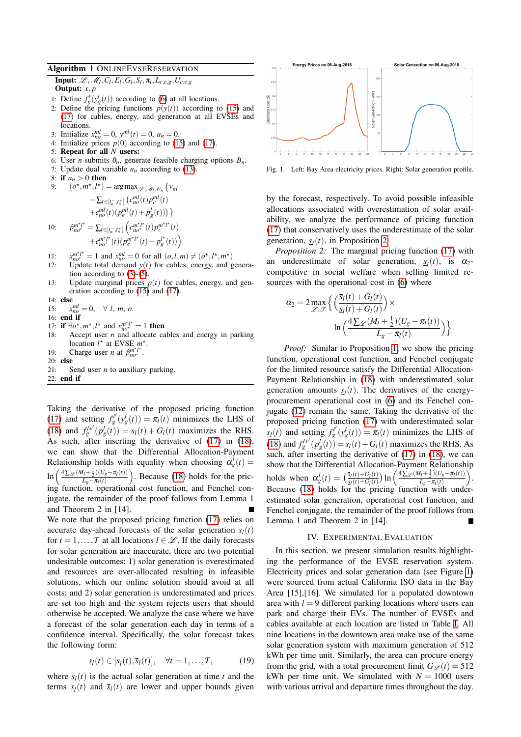# <span id="page-4-1"></span>Algorithm 1 ONLINEEVSERESERVATION

Input:  $\mathscr{L}, \mathscr{M}_l, C_l, E_l, G_l, S_l, \pi_l, L_{c,e,g}, U_{c,e,g}$ Output:  $x, p$ 

- 1: Define  $f_g^l(y_g^l(t))$  according to [\(6\)](#page-1-1) at all locations.
- 2: Define the pricing functions  $p(y(t))$  according to [\(15\)](#page-3-0) and [\(17\)](#page-3-3) for cables, energy, and generation at all EVSEs and locations.
- 3: Initialize  $x_{no}^{ml} = 0$ ,  $y_{ol}^{ml}(t) = 0$ ,  $u_n = 0$ .
- 4: Initialize prices  $p(0)$  according to [\(15\)](#page-3-0) and [\(17\)](#page-3-3).
- 5: Repeat for all *N* users:
- 6: User *n* submits  $\theta_n$ , generate feasible charging options  $B_n$ .
- 7: Update dual variable  $u_n$  according to [\(13\)](#page-2-7).
- 8: if  $u_n > 0$  then<br>9.  $\left(\begin{matrix} 0^x & m^x & l^x \end{matrix}\right)$ 9: (*o*

$$
(o^*, m^*, l^*) = \arg \max_{\mathcal{L}, \mathcal{M}_1, \mathcal{O}_n} \{v_{nl}
$$
  
-  $\sum_{t \in [t_n^-, t_n^+]} (c_{no}^{ml}(t))p_c^{ml}(t)$   
+  $e_{no}^{ml}(t)(p_c^{ml}(t) + p_g^l(t))) \}$   

$$
\hat{p}_{no^*}^{m^*l^*} = \sum_{t \in [t_n^-, t_n^+]} (c_{no^*}^{m^*l^*}(t))p_c^{m^*l^*}(t)
$$

<span id="page-4-4"></span>+
$$
e_{no^*}^{m^*l^*}(t)(p_e^{m^*l^*}(t)+p_g^{l^*}(t))
$$

- $11$  $\int_{0}^{m^{*}l^{*}}$  = 1 and  $x_{no}^{ml}$  = 0 for all  $(o, l, m) \neq (o^{*}, l^{*}, m^{*})$
- 12: Update total demand  $y(t)$  for cables, energy, and generation according to  $(3)-(5)$  $(3)-(5)$  $(3)-(5)$ .
- 13: Update marginal prices  $p(t)$  for cables, energy, and generation according to [\(15\)](#page-3-0) and [\(17\)](#page-3-3).
- 14: else

 $10<sup>5</sup>$ 

- 15: *x*  $\frac{m}{no} = 0, \quad \forall l, m, o.$
- 16: end if
- 17: **if**  $\exists o^*$ ,  $m^*$ ,  $l^*$  and  $x_{no^*}^{m^*l^*} = 1$  then
- 18: Accept user *n* and allocate cables and energy in parking location  $l^*$  at EVSE  $m^*$ .
- 19: Charge user *n* at  $\hat{p}_{no^*}^{m^*l^*}$ .
- 20: else
- 21: Send user *n* to auxiliary parking.

22: end if

Taking the derivative of the proposed pricing function [\(17\)](#page-3-3) and setting  $f_g^{l'}(y_g^l(t)) = \pi_l(t)$  minimizes the LHS of [\(18\)](#page-3-5) and  $f_g^{l*'}(p_g^l(i)) = s_l(t) + G_l(t)$  maximizes the RHS. As such, after inserting the derivative of [\(17\)](#page-3-3) in [\(18\)](#page-3-5), we can show that the Differential Allocation-Payment Relationship holds with equality when choosing  $\alpha_g^l(t)$  =  $ln($  $\frac{4\sum \varphi (M_l + \frac{1}{2})(U_g - \pi_l(t))}{2}$  $\frac{I(t+\frac{1}{2})(U_g-\pi_l(t))}{L_g-\pi_l(t)}$ . Because [\(18\)](#page-3-5) holds for the pric- $\lim_{L_g - \pi_l(t)}$ . Because (16) holds for the pricing function, operational cost function, and Fenchel conjugate, the remainder of the proof follows from Lemma 1 and Theorem 2 in [14].

We note that the proposed pricing function [\(17\)](#page-3-3) relies on accurate day-ahead forecasts of the solar generation  $s_l(t)$ for  $t = 1, \ldots, T$  at all locations  $l \in \mathcal{L}$ . If the daily forecasts for solar generation are inaccurate, there are two potential undesirable outcomes: 1) solar generation is overestimated and resources are over-allocated resulting in infeasible solutions, which our online solution should avoid at all costs; and 2) solar generation is underestimated and prices are set too high and the system rejects users that should otherwise be accepted. We analyze the case where we have a forecast of the solar generation each day in terms of a confidence interval. Specifically, the solar forecast takes the following form:

$$
s_l(t) \in [\underline{s}_l(t), \overline{s}_l(t)], \quad \forall t = 1, \dots, T,
$$
 (19)

where  $s_l(t)$  is the actual solar generation at time *t* and the terms  $s_l(t)$  and  $\bar{s}_l(t)$  are lower and upper bounds given



<span id="page-4-6"></span><span id="page-4-2"></span>Fig. 1. Left: Bay Area electricity prices. Right: Solar generation profile.

by the forecast, respectively. To avoid possible infeasible allocations associated with overestimation of solar availability, we analyze the performance of pricing function [\(17\)](#page-3-3) that conservatively uses the underestimate of the solar generation,  $s_l(t)$ , in Proposition [2.](#page-4-5)

<span id="page-4-5"></span><span id="page-4-3"></span>*Proposition 2:* The marginal pricing function [\(17\)](#page-3-3) with an underestimate of solar generation,  $s_l(t)$ , is  $\alpha_2$ competitive in social welfare when selling limited resources with the operational cost in [\(6\)](#page-1-1) where

$$
\alpha_2 = 2 \max_{\mathscr{L}, \mathscr{T}} \Big\{ \Big( \frac{\overline{s}_l(t) + G_l(t)}{\underline{s}_l(t) + G_l(t)} \Big) \times \ln \Big( \frac{4 \sum_{\mathscr{L}} (M_l + \frac{1}{2}) (U_g - \pi_l(t))}{L_g - \pi_l(t)} \Big) \Big\}.
$$

*Proof:* Similar to Proposition [1,](#page-3-4) we show the pricing function, operational cost function, and Fenchel conjugate for the limited resource satisfy the Differential Allocation-Payment Relationship in [\(18\)](#page-3-5) with underestimated solar generation amounts  $s_l(t)$ . The derivatives of the energyprocurement operational cost in [\(6\)](#page-1-1) and its Fenchel conjugate [\(12\)](#page-2-10) remain the same. Taking the derivative of the proposed pricing function [\(17\)](#page-3-3) with underestimated solar  $s_l(t)$  and setting  $f_g^{l'}(y_g^l(t)) = \pi_l(t)$  minimizes the LHS of [\(18\)](#page-3-5) and  $f_g^{l*'}(p_g^l(t)) = s_l(t) + G_l(t)$  maximizes the RHS. As such, after inserting the derivative of [\(17\)](#page-3-3) in [\(18\)](#page-3-5), we can show that the Differential Allocation-Payment Relationship holds when  $\alpha_g^l(t) = \left(\frac{\bar{s}_l(t) + G_l(t)}{s_l(t) + G_l(t)}\right)$  $\frac{\bar{s}_l(t) + G_l(t)}{s_l(t) + G_l(t)}$  ln  $\left(\frac{4\sum_{l} (M_l + \frac{1}{2})(U_g - \pi_l(t))}{L_g - \pi_l(t)}\right)$  $\frac{I_l + \frac{1}{2}(U_g - \pi_l(t))}{L_g - \pi_l(t)}$ . Because [\(18\)](#page-3-5) holds for the pricing function with underestimated solar generation, operational cost function, and Fenchel conjugate, the remainder of the proof follows from Lemma 1 and Theorem 2 in [14].

#### IV. EXPERIMENTAL EVALUATION

<span id="page-4-0"></span>In this section, we present simulation results highlighting the performance of the EVSE reservation system. Electricity prices and solar generation data (see Figure [1\)](#page-4-6) were sourced from actual California ISO data in the Bay Area [15],[16]. We simulated for a populated downtown area with  $l = 9$  different parking locations where users can park and charge their EVs. The number of EVSEs and cables available at each location are listed in Table [I.](#page-5-0) All nine locations in the downtown area make use of the same solar generation system with maximum generation of 512 kWh per time unit. Similarly, the area can procure energy from the grid, with a total procurement limit  $G \varphi(t) = 512$ kWh per time unit. We simulated with  $N = 1000$  users with various arrival and departure times throughout the day.